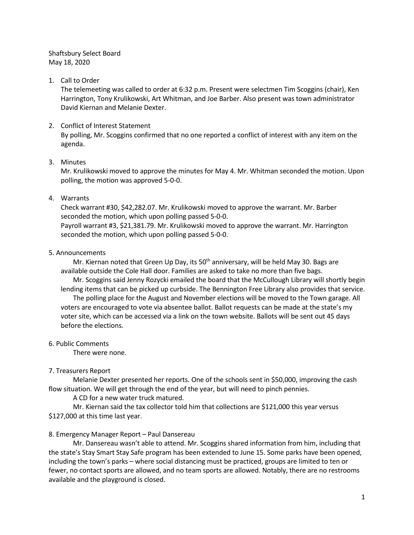Shaftsbury Select Board May 18, 2020

#### 1. Call to Order

The telemeeting was called to order at 6:32 p.m. Present were selectmen Tim Scoggins (chair), Ken Harrington, Tony Krulikowski, Art Whitman, and Joe Barber. Also present was town administrator David Kiernan and Melanie Dexter.

#### 2. Conflict of Interest Statement

By polling, Mr. Scoggins confirmed that no one reported a conflict of interest with any item on the agenda.

#### 3. Minutes

Mr. Krulikowski moved to approve the minutes for May 4. Mr. Whitman seconded the motion. Upon polling, the motion was approved 5-0-0.

#### 4. Warrants

Check warrant #30, \$42,282.07. Mr. Krulikowski moved to approve the warrant. Mr. Barber seconded the motion, which upon polling passed 5-0-0. Payroll warrant #3, \$21,381.79. Mr. Krulikowski moved to approve the warrant. Mr. Harrington seconded the motion, which upon polling passed 5-0-0.

#### 5. Announcements

Mr. Kiernan noted that Green Up Day, its  $50<sup>th</sup>$  anniversary, will be held May 30. Bags are available outside the Cole Hall door. Families are asked to take no more than five bags.

Mr. Scoggins said Jenny Rozycki emailed the board that the McCullough Library will shortly begin lending items that can be picked up curbside. The Bennington Free Library also provides that service. The polling place for the August and November elections will be moved to the Town garage. All voters are encouraged to vote via absentee ballot. Ballot requests can be made at the state's my voter site, which can be accessed via a link on the town website. Ballots will be sent out 45 days before the elections.

6. Public Comments

There were none.

## 7. Treasurers Report

Melanie Dexter presented her reports. One of the schools sent in \$50,000, improving the cash flow situation. We will get through the end of the year, but will need to pinch pennies.

A CD for a new water truck matured.

Mr. Kiernan said the tax collector told him that collections are \$121,000 this year versus \$127,000 at this time last year.

## 8. Emergency Manager Report – Paul Dansereau

Mr. Dansereau wasn't able to attend. Mr. Scoggins shared information from him, including that the state's Stay Smart Stay Safe program has been extended to June 15. Some parks have been opened, including the town's parks – where social distancing must be practiced, groups are limited to ten or fewer, no contact sports are allowed, and no team sports are allowed. Notably, there are no restrooms available and the playground is closed.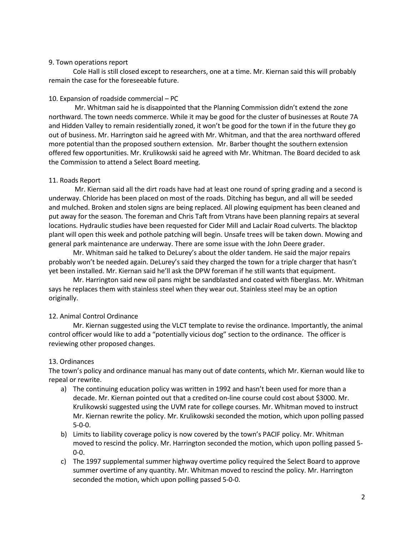#### 9. Town operations report

Cole Hall is still closed except to researchers, one at a time. Mr. Kiernan said this will probably remain the case for the foreseeable future.

### 10. Expansion of roadside commercial – PC

Mr. Whitman said he is disappointed that the Planning Commission didn't extend the zone northward. The town needs commerce. While it may be good for the cluster of businesses at Route 7A and Hidden Valley to remain residentially zoned, it won't be good for the town if in the future they go out of business. Mr. Harrington said he agreed with Mr. Whitman, and that the area northward offered more potential than the proposed southern extension. Mr. Barber thought the southern extension offered few opportunities. Mr. Krulikowski said he agreed with Mr. Whitman. The Board decided to ask the Commission to attend a Select Board meeting.

#### 11. Roads Report

Mr. Kiernan said all the dirt roads have had at least one round of spring grading and a second is underway. Chloride has been placed on most of the roads. Ditching has begun, and all will be seeded and mulched. Broken and stolen signs are being replaced. All plowing equipment has been cleaned and put away for the season. The foreman and Chris Taft from Vtrans have been planning repairs at several locations. Hydraulic studies have been requested for Cider Mill and Laclair Road culverts. The blacktop plant will open this week and pothole patching will begin. Unsafe trees will be taken down. Mowing and general park maintenance are underway. There are some issue with the John Deere grader.

Mr. Whitman said he talked to DeLurey's about the older tandem. He said the major repairs probably won't be needed again. DeLurey's said they charged the town for a triple charger that hasn't yet been installed. Mr. Kiernan said he'll ask the DPW foreman if he still wants that equipment.

Mr. Harrington said new oil pans might be sandblasted and coated with fiberglass. Mr. Whitman says he replaces them with stainless steel when they wear out. Stainless steel may be an option originally.

## 12. Animal Control Ordinance

Mr. Kiernan suggested using the VLCT template to revise the ordinance. Importantly, the animal control officer would like to add a "potentially vicious dog" section to the ordinance. The officer is reviewing other proposed changes.

## 13. Ordinances

The town's policy and ordinance manual has many out of date contents, which Mr. Kiernan would like to repeal or rewrite.

- a) The continuing education policy was written in 1992 and hasn't been used for more than a decade. Mr. Kiernan pointed out that a credited on-line course could cost about \$3000. Mr. Krulikowski suggested using the UVM rate for college courses. Mr. Whitman moved to instruct Mr. Kiernan rewrite the policy. Mr. Krulikowski seconded the motion, which upon polling passed 5-0-0.
- b) Limits to liability coverage policy is now covered by the town's PACIF policy. Mr. Whitman moved to rescind the policy. Mr. Harrington seconded the motion, which upon polling passed 5- 0-0.
- c) The 1997 supplemental summer highway overtime policy required the Select Board to approve summer overtime of any quantity. Mr. Whitman moved to rescind the policy. Mr. Harrington seconded the motion, which upon polling passed 5-0-0.